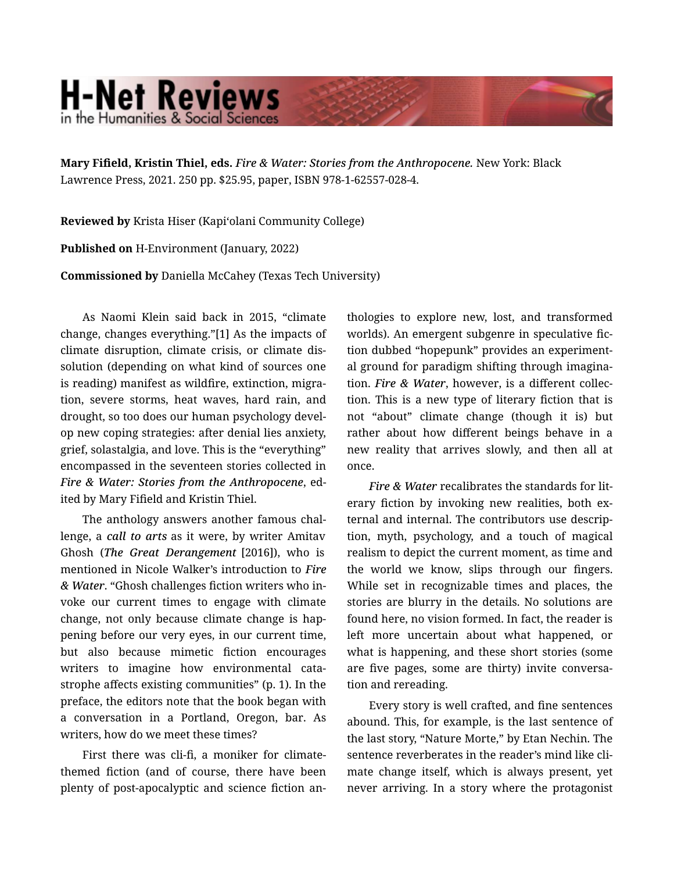## **H-Net Reviews** in the Humanities & Social Scienc

Mary Fifield, Kristin Thiel, eds. *Fire & Water: Stories from the Anthropocene.* New York: Black Lawrence Press, 2021. 250 pp. \$25.95, paper, ISBN 978-1-62557-028-4.

Reviewed by Krista Hiser (Kapiʻolani Community College)

Published on H-Environment (January, 2022)

Commissioned by Daniella McCahey (Texas Tech University)

As Naomi Klein said back in 2015, "climate change, changes everything."[1] As the impacts of climate disruption, climate crisis, or climate dis‐ solution (depending on what kind of sources one is reading) manifest as wildfire, extinction, migra‐ tion, severe storms, heat waves, hard rain, and drought, so too does our human psychology devel‐ op new coping strategies: after denial lies anxiety, grief, solastalgia, and love. This is the "everything" encompassed in the seventeen stories collected in *Fire & Water: Stories from the Anthropocene*, ed‐ ited by Mary Fifield and Kristin Thiel.

The anthology answers another famous chal‐ lenge, a *call to arts* as it were, by writer Amitav Ghosh (*The Great Derangement* [2016]), who is mentioned in Nicole Walker's introduction to *Fire & Water*. "Ghosh challenges fiction writers who in‐ voke our current times to engage with climate change, not only because climate change is hap‐ pening before our very eyes, in our current time, but also because mimetic fiction encourages writers to imagine how environmental catastrophe affects existing communities" (p. 1). In the preface, the editors note that the book began with a conversation in a Portland, Oregon, bar. As writers, how do we meet these times?

First there was cli-fi, a moniker for climatethemed fiction (and of course, there have been plenty of post-apocalyptic and science fiction an‐ thologies to explore new, lost, and transformed worlds). An emergent subgenre in speculative fiction dubbed "hopepunk" provides an experiment‐ al ground for paradigm shifting through imagina‐ tion. *Fire & Water*, however, is a different collec‐ tion. This is a new type of literary fiction that is not "about" climate change (though it is) but rather about how different beings behave in a new reality that arrives slowly, and then all at once.

*Fire & Water* recalibrates the standards for lit‐ erary fiction by invoking new realities, both external and internal. The contributors use descrip‐ tion, myth, psychology, and a touch of magical realism to depict the current moment, as time and the world we know, slips through our fingers. While set in recognizable times and places, the stories are blurry in the details. No solutions are found here, no vision formed. In fact, the reader is left more uncertain about what happened, or what is happening, and these short stories (some are five pages, some are thirty) invite conversa‐ tion and rereading.

Every story is well crafted, and fine sentences abound. This, for example, is the last sentence of the last story, "Nature Morte," by Etan Nechin. The sentence reverberates in the reader's mind like climate change itself, which is always present, yet never arriving. In a story where the protagonist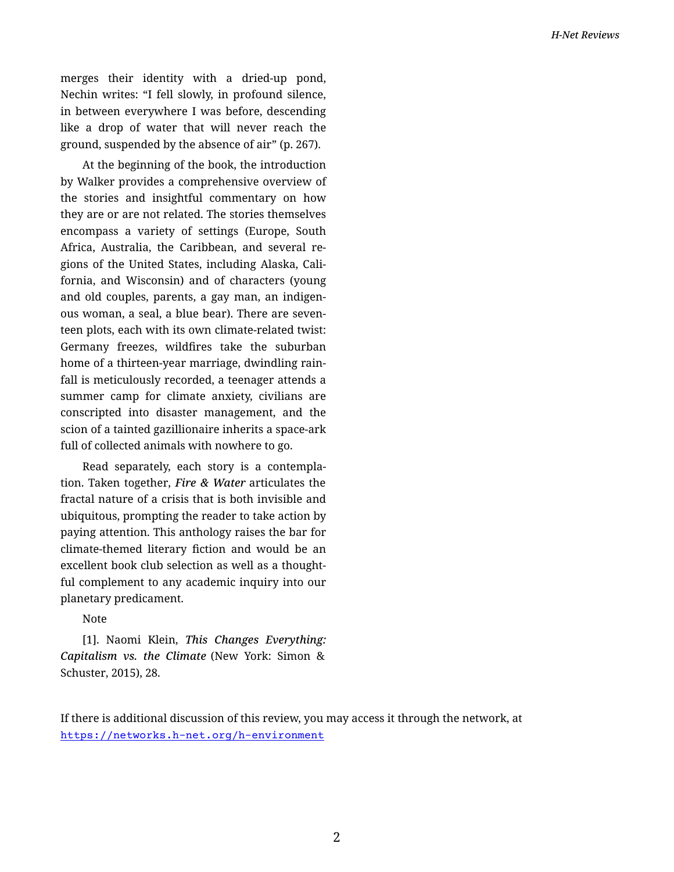merges their identity with a dried-up pond, Nechin writes: "I fell slowly, in profound silence, in between everywhere I was before, descending like a drop of water that will never reach the ground, suspended by the absence of air" (p. 267).

At the beginning of the book, the introduction by Walker provides a comprehensive overview of the stories and insightful commentary on how they are or are not related. The stories themselves encompass a variety of settings (Europe, South Africa, Australia, the Caribbean, and several re‐ gions of the United States, including Alaska, Cali‐ fornia, and Wisconsin) and of characters (young and old couples, parents, a gay man, an indigen‐ ous woman, a seal, a blue bear). There are seven‐ teen plots, each with its own climate-related twist: Germany freezes, wildfires take the suburban home of a thirteen-year marriage, dwindling rain‐ fall is meticulously recorded, a teenager attends a summer camp for climate anxiety, civilians are conscripted into disaster management, and the scion of a tainted gazillionaire inherits a space-ark full of collected animals with nowhere to go.

Read separately, each story is a contempla‐ tion. Taken together, *Fire & Water* articulates the fractal nature of a crisis that is both invisible and ubiquitous, prompting the reader to take action by paying attention. This anthology raises the bar for climate-themed literary fiction and would be an excellent book club selection as well as a thought‐ ful complement to any academic inquiry into our planetary predicament.

## Note

[1]. Naomi Klein, *This Changes Everything: Capitalism vs. the Climate* (New York: Simon & Schuster, 2015), 28.

If there is additional discussion of this review, you may access it through the network, at <https://networks.h-net.org/h-environment>